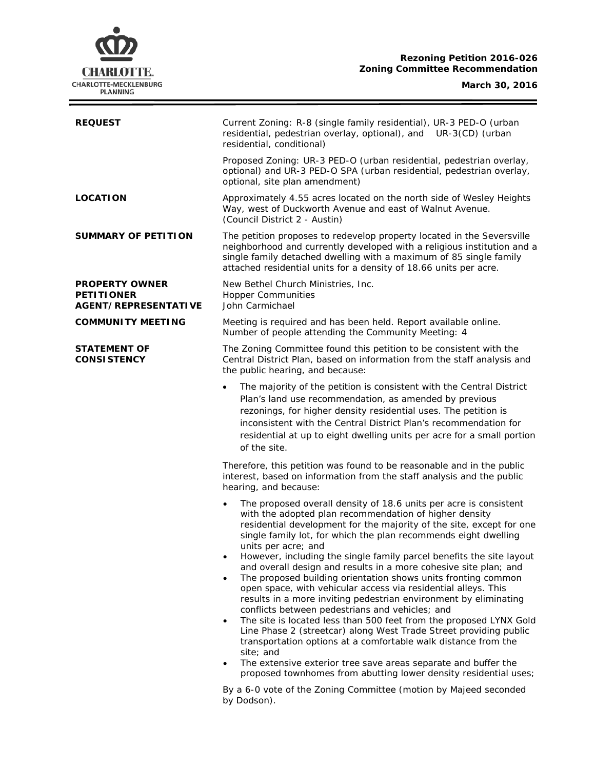

 $\equiv$ 

| <b>REQUEST</b>                                                            | Current Zoning: R-8 (single family residential), UR-3 PED-O (urban<br>residential, pedestrian overlay, optional), and UR-3(CD) (urban<br>residential, conditional)                                                                                                                                                                                                                                                                                                                                                                                                                                                                                                                                                                                                                                                                                                                                                                                                                                                                                                                                                                                                                                       |  |
|---------------------------------------------------------------------------|----------------------------------------------------------------------------------------------------------------------------------------------------------------------------------------------------------------------------------------------------------------------------------------------------------------------------------------------------------------------------------------------------------------------------------------------------------------------------------------------------------------------------------------------------------------------------------------------------------------------------------------------------------------------------------------------------------------------------------------------------------------------------------------------------------------------------------------------------------------------------------------------------------------------------------------------------------------------------------------------------------------------------------------------------------------------------------------------------------------------------------------------------------------------------------------------------------|--|
|                                                                           | Proposed Zoning: UR-3 PED-O (urban residential, pedestrian overlay,<br>optional) and UR-3 PED-O SPA (urban residential, pedestrian overlay,<br>optional, site plan amendment)                                                                                                                                                                                                                                                                                                                                                                                                                                                                                                                                                                                                                                                                                                                                                                                                                                                                                                                                                                                                                            |  |
| <b>LOCATION</b>                                                           | Approximately 4.55 acres located on the north side of Wesley Heights<br>Way, west of Duckworth Avenue and east of Walnut Avenue.<br>(Council District 2 - Austin)                                                                                                                                                                                                                                                                                                                                                                                                                                                                                                                                                                                                                                                                                                                                                                                                                                                                                                                                                                                                                                        |  |
| <b>SUMMARY OF PETITION</b>                                                | The petition proposes to redevelop property located in the Seversville<br>neighborhood and currently developed with a religious institution and a<br>single family detached dwelling with a maximum of 85 single family<br>attached residential units for a density of 18.66 units per acre.                                                                                                                                                                                                                                                                                                                                                                                                                                                                                                                                                                                                                                                                                                                                                                                                                                                                                                             |  |
| <b>PROPERTY OWNER</b><br><b>PETITIONER</b><br><b>AGENT/REPRESENTATIVE</b> | New Bethel Church Ministries, Inc.<br><b>Hopper Communities</b><br>John Carmichael                                                                                                                                                                                                                                                                                                                                                                                                                                                                                                                                                                                                                                                                                                                                                                                                                                                                                                                                                                                                                                                                                                                       |  |
| <b>COMMUNITY MEETING</b>                                                  | Meeting is required and has been held. Report available online.<br>Number of people attending the Community Meeting: 4                                                                                                                                                                                                                                                                                                                                                                                                                                                                                                                                                                                                                                                                                                                                                                                                                                                                                                                                                                                                                                                                                   |  |
| <b>STATEMENT OF</b><br><b>CONSISTENCY</b>                                 | The Zoning Committee found this petition to be consistent with the<br>Central District Plan, based on information from the staff analysis and<br>the public hearing, and because:                                                                                                                                                                                                                                                                                                                                                                                                                                                                                                                                                                                                                                                                                                                                                                                                                                                                                                                                                                                                                        |  |
|                                                                           | The majority of the petition is consistent with the Central District<br>$\bullet$<br>Plan's land use recommendation, as amended by previous<br>rezonings, for higher density residential uses. The petition is<br>inconsistent with the <i>Central District Plan's</i> recommendation for<br>residential at up to eight dwelling units per acre for a small portion<br>of the site.                                                                                                                                                                                                                                                                                                                                                                                                                                                                                                                                                                                                                                                                                                                                                                                                                      |  |
|                                                                           | Therefore, this petition was found to be reasonable and in the public<br>interest, based on information from the staff analysis and the public<br>hearing, and because:                                                                                                                                                                                                                                                                                                                                                                                                                                                                                                                                                                                                                                                                                                                                                                                                                                                                                                                                                                                                                                  |  |
|                                                                           | The proposed overall density of 18.6 units per acre is consistent<br>$\bullet$<br>with the adopted plan recommendation of higher density<br>residential development for the majority of the site, except for one<br>single family lot, for which the plan recommends eight dwelling<br>units per acre; and<br>However, including the single family parcel benefits the site layout<br>$\bullet$<br>and overall design and results in a more cohesive site plan; and<br>The proposed building orientation shows units fronting common<br>$\bullet$<br>open space, with vehicular access via residential alleys. This<br>results in a more inviting pedestrian environment by eliminating<br>conflicts between pedestrians and vehicles; and<br>The site is located less than 500 feet from the proposed LYNX Gold<br>$\bullet$<br>Line Phase 2 (streetcar) along West Trade Street providing public<br>transportation options at a comfortable walk distance from the<br>site; and<br>The extensive exterior tree save areas separate and buffer the<br>$\bullet$<br>proposed townhomes from abutting lower density residential uses;<br>By a 6-0 vote of the Zoning Committee (motion by Majeed seconded |  |
|                                                                           | by Dodson).                                                                                                                                                                                                                                                                                                                                                                                                                                                                                                                                                                                                                                                                                                                                                                                                                                                                                                                                                                                                                                                                                                                                                                                              |  |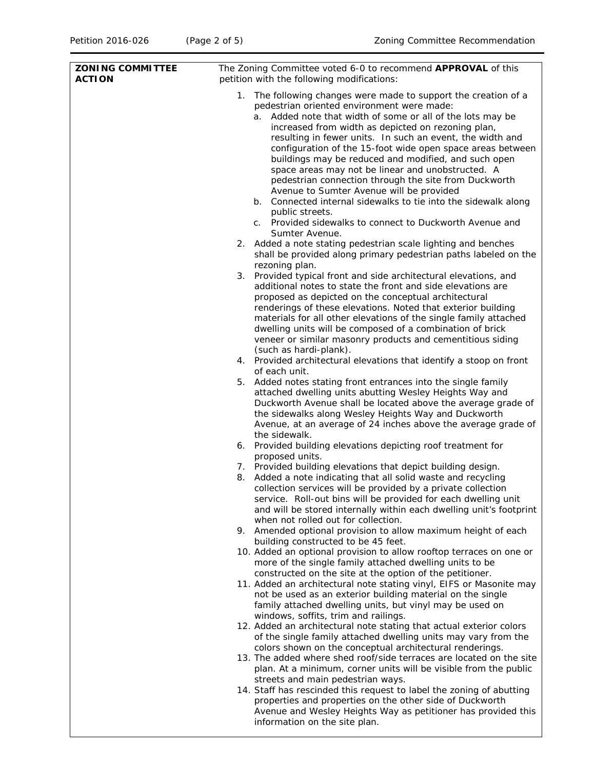| <b>ZONING COMMITTEE</b><br><b>ACTION</b> | The Zoning Committee voted 6-0 to recommend APPROVAL of this<br>petition with the following modifications:                                                                                                                                                                                                                                                                                                                                                                                                                                                                                                                                                                                                                                        |  |  |
|------------------------------------------|---------------------------------------------------------------------------------------------------------------------------------------------------------------------------------------------------------------------------------------------------------------------------------------------------------------------------------------------------------------------------------------------------------------------------------------------------------------------------------------------------------------------------------------------------------------------------------------------------------------------------------------------------------------------------------------------------------------------------------------------------|--|--|
|                                          | 1. The following changes were made to support the creation of a<br>pedestrian oriented environment were made:<br>a. Added note that width of some or all of the lots may be<br>increased from width as depicted on rezoning plan,<br>resulting in fewer units. In such an event, the width and<br>configuration of the 15-foot wide open space areas between<br>buildings may be reduced and modified, and such open<br>space areas may not be linear and unobstructed. A<br>pedestrian connection through the site from Duckworth<br>Avenue to Sumter Avenue will be provided<br>b. Connected internal sidewalks to tie into the sidewalk along<br>public streets.<br>c. Provided sidewalks to connect to Duckworth Avenue and<br>Sumter Avenue. |  |  |
|                                          | 2. Added a note stating pedestrian scale lighting and benches<br>shall be provided along primary pedestrian paths labeled on the                                                                                                                                                                                                                                                                                                                                                                                                                                                                                                                                                                                                                  |  |  |
|                                          | rezoning plan.<br>3. Provided typical front and side architectural elevations, and<br>additional notes to state the front and side elevations are<br>proposed as depicted on the conceptual architectural<br>renderings of these elevations. Noted that exterior building<br>materials for all other elevations of the single family attached<br>dwelling units will be composed of a combination of brick<br>veneer or similar masonry products and cementitious siding<br>(such as hardi-plank).                                                                                                                                                                                                                                                |  |  |
|                                          | 4. Provided architectural elevations that identify a stoop on front                                                                                                                                                                                                                                                                                                                                                                                                                                                                                                                                                                                                                                                                               |  |  |
|                                          | of each unit.<br>5. Added notes stating front entrances into the single family<br>attached dwelling units abutting Wesley Heights Way and<br>Duckworth Avenue shall be located above the average grade of<br>the sidewalks along Wesley Heights Way and Duckworth<br>Avenue, at an average of 24 inches above the average grade of<br>the sidewalk.                                                                                                                                                                                                                                                                                                                                                                                               |  |  |
|                                          | 6. Provided building elevations depicting roof treatment for<br>proposed units.                                                                                                                                                                                                                                                                                                                                                                                                                                                                                                                                                                                                                                                                   |  |  |
|                                          | 7. Provided building elevations that depict building design.<br>8. Added a note indicating that all solid waste and recycling<br>collection services will be provided by a private collection<br>service. Roll-out bins will be provided for each dwelling unit<br>and will be stored internally within each dwelling unit's footprint                                                                                                                                                                                                                                                                                                                                                                                                            |  |  |
|                                          | when not rolled out for collection.<br>9. Amended optional provision to allow maximum height of each                                                                                                                                                                                                                                                                                                                                                                                                                                                                                                                                                                                                                                              |  |  |
|                                          | building constructed to be 45 feet.<br>10. Added an optional provision to allow rooftop terraces on one or<br>more of the single family attached dwelling units to be                                                                                                                                                                                                                                                                                                                                                                                                                                                                                                                                                                             |  |  |
|                                          | constructed on the site at the option of the petitioner.<br>11. Added an architectural note stating vinyl, EIFS or Masonite may<br>not be used as an exterior building material on the single<br>family attached dwelling units, but vinyl may be used on                                                                                                                                                                                                                                                                                                                                                                                                                                                                                         |  |  |
|                                          | windows, soffits, trim and railings.<br>12. Added an architectural note stating that actual exterior colors<br>of the single family attached dwelling units may vary from the                                                                                                                                                                                                                                                                                                                                                                                                                                                                                                                                                                     |  |  |
|                                          | colors shown on the conceptual architectural renderings.<br>13. The added where shed roof/side terraces are located on the site<br>plan. At a minimum, corner units will be visible from the public                                                                                                                                                                                                                                                                                                                                                                                                                                                                                                                                               |  |  |
|                                          | streets and main pedestrian ways.<br>14. Staff has rescinded this request to label the zoning of abutting<br>properties and properties on the other side of Duckworth<br>Avenue and Wesley Heights Way as petitioner has provided this<br>information on the site plan.                                                                                                                                                                                                                                                                                                                                                                                                                                                                           |  |  |
|                                          |                                                                                                                                                                                                                                                                                                                                                                                                                                                                                                                                                                                                                                                                                                                                                   |  |  |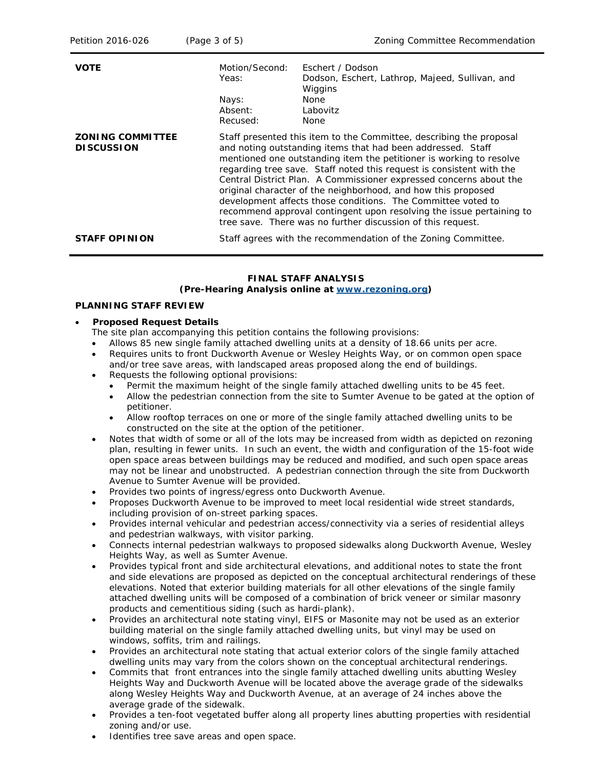| Petition 2016-026                            | (Page 3 of 5)                | Zoning Committee Recommendation                                                                                                                                                                                                                                                                                                                                                                                                                                                                                                                                                                                                 |  |
|----------------------------------------------|------------------------------|---------------------------------------------------------------------------------------------------------------------------------------------------------------------------------------------------------------------------------------------------------------------------------------------------------------------------------------------------------------------------------------------------------------------------------------------------------------------------------------------------------------------------------------------------------------------------------------------------------------------------------|--|
| <b>VOTE</b>                                  | Motion/Second:<br>Yeas:      | Eschert / Dodson<br>Dodson, Eschert, Lathrop, Majeed, Sullivan, and<br>Wiggins                                                                                                                                                                                                                                                                                                                                                                                                                                                                                                                                                  |  |
|                                              | Nays:<br>Absent:<br>Recused: | <b>None</b><br>Labovitz<br>None                                                                                                                                                                                                                                                                                                                                                                                                                                                                                                                                                                                                 |  |
| <b>ZONING COMMITTEE</b><br><b>DISCUSSION</b> |                              | Staff presented this item to the Committee, describing the proposal<br>and noting outstanding items that had been addressed. Staff<br>mentioned one outstanding item the petitioner is working to resolve<br>regarding tree save. Staff noted this request is consistent with the<br>Central District Plan. A Commissioner expressed concerns about the<br>original character of the neighborhood, and how this proposed<br>development affects those conditions. The Committee voted to<br>recommend approval contingent upon resolving the issue pertaining to<br>tree save. There was no further discussion of this request. |  |
| <b>STAFF OPINION</b>                         |                              | Staff agrees with the recommendation of the Zoning Committee.                                                                                                                                                                                                                                                                                                                                                                                                                                                                                                                                                                   |  |

### **FINAL STAFF ANALYSIS (Pre-Hearing Analysis online at [www.rezoning.org\)](http://www.rezoning.org/)**

### **PLANNING STAFF REVIEW**

#### • **Proposed Request Details**

- The site plan accompanying this petition contains the following provisions:
- Allows 85 new single family attached dwelling units at a density of 18.66 units per acre.
- Requires units to front Duckworth Avenue or Wesley Heights Way, or on common open space and/or tree save areas, with landscaped areas proposed along the end of buildings.
- Requests the following optional provisions:
	- Permit the maximum height of the single family attached dwelling units to be 45 feet.
	- Allow the pedestrian connection from the site to Sumter Avenue to be gated at the option of petitioner.
	- Allow rooftop terraces on one or more of the single family attached dwelling units to be constructed on the site at the option of the petitioner.
- Notes that width of some or all of the lots may be increased from width as depicted on rezoning plan, resulting in fewer units. In such an event, the width and configuration of the 15-foot wide open space areas between buildings may be reduced and modified, and such open space areas may not be linear and unobstructed. A pedestrian connection through the site from Duckworth Avenue to Sumter Avenue will be provided.
- Provides two points of ingress/egress onto Duckworth Avenue.
- Proposes Duckworth Avenue to be improved to meet local residential wide street standards, including provision of on-street parking spaces.
- Provides internal vehicular and pedestrian access/connectivity via a series of residential alleys and pedestrian walkways, with visitor parking.
- Connects internal pedestrian walkways to proposed sidewalks along Duckworth Avenue, Wesley Heights Way, as well as Sumter Avenue.
- Provides typical front and side architectural elevations, and additional notes to state the front and side elevations are proposed as depicted on the conceptual architectural renderings of these elevations. Noted that exterior building materials for all other elevations of the single family attached dwelling units will be composed of a combination of brick veneer or similar masonry products and cementitious siding (such as hardi-plank).
- Provides an architectural note stating vinyl, EIFS or Masonite may not be used as an exterior building material on the single family attached dwelling units, but vinyl may be used on windows, soffits, trim and railings.
- Provides an architectural note stating that actual exterior colors of the single family attached dwelling units may vary from the colors shown on the conceptual architectural renderings.
- Commits that front entrances into the single family attached dwelling units abutting Wesley Heights Way and Duckworth Avenue will be located above the average grade of the sidewalks along Wesley Heights Way and Duckworth Avenue, at an average of 24 inches above the average grade of the sidewalk.
- Provides a ten-foot vegetated buffer along all property lines abutting properties with residential zoning and/or use.
- Identifies tree save areas and open space.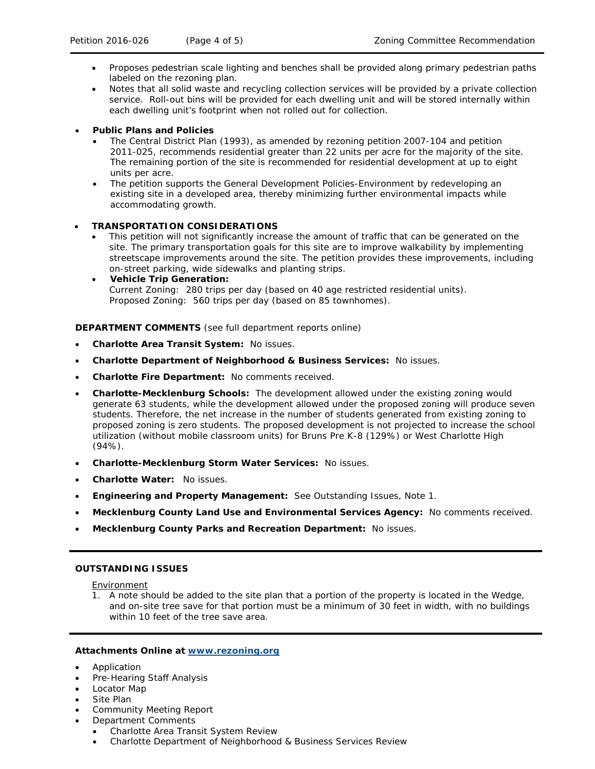- Proposes pedestrian scale lighting and benches shall be provided along primary pedestrian paths labeled on the rezoning plan.
- Notes that all solid waste and recycling collection services will be provided by a private collection service. Roll-out bins will be provided for each dwelling unit and will be stored internally within each dwelling unit's footprint when not rolled out for collection.

# • **Public Plans and Policies**

- The *Central District Plan* (1993), as amended by rezoning petition 2007-104 and petition 2011-025, recommends residential greater than 22 units per acre for the majority of the site. The remaining portion of the site is recommended for residential development at up to eight units per acre.
- The petition supports the *General Development Policies-Environment* by redeveloping an existing site in a developed area, thereby minimizing further environmental impacts while accommodating growth.

# • **TRANSPORTATION CONSIDERATIONS**

- This petition will not significantly increase the amount of traffic that can be generated on the site. The primary transportation goals for this site are to improve walkability by implementing streetscape improvements around the site. The petition provides these improvements, including on-street parking, wide sidewalks and planting strips.
- **Vehicle Trip Generation:** Current Zoning: 280 trips per day (based on 40 age restricted residential units). Proposed Zoning: 560 trips per day (based on 85 townhomes).

### **DEPARTMENT COMMENTS** (see full department reports online)

- **Charlotte Area Transit System:** No issues.
- **Charlotte Department of Neighborhood & Business Services:** No issues.
- **Charlotte Fire Department:** No comments received.
- **Charlotte-Mecklenburg Schools:** The development allowed under the existing zoning would generate 63 students, while the development allowed under the proposed zoning will produce seven students. Therefore, the net increase in the number of students generated from existing zoning to proposed zoning is zero students. The proposed development is not projected to increase the school utilization (without mobile classroom units) for Bruns Pre K-8 (129%) or West Charlotte High  $(94\%)$ .
- **Charlotte-Mecklenburg Storm Water Services:** No issues.
- **Charlotte Water:** No issues.
- **Engineering and Property Management:** See Outstanding Issues, Note 1.
- **Mecklenburg County Land Use and Environmental Services Agency:** No comments received.
- **Mecklenburg County Parks and Recreation Department:** No issues.

# **OUTSTANDING ISSUES**

#### **Environment**

1. A note should be added to the site plan that a portion of the property is located in the Wedge, and on-site tree save for that portion must be a minimum of 30 feet in width, with no buildings within 10 feet of the tree save area.

#### **Attachments Online at [www.rezoning.org](http://www.rezoning.org/)**

- **Application**
- Pre-Hearing Staff Analysis
- Locator Map
- Site Plan
- Community Meeting Report
- Department Comments
	- Charlotte Area Transit System Review
	- Charlotte Department of Neighborhood & Business Services Review